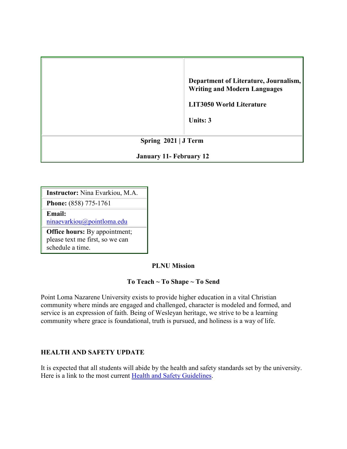|                                | Department of Literature, Journalism,<br><b>Writing and Modern Languages</b><br><b>LIT3050 World Literature</b><br>Units: 3 |  |
|--------------------------------|-----------------------------------------------------------------------------------------------------------------------------|--|
| Spring $2021$ J Term           |                                                                                                                             |  |
| <b>January 11- February 12</b> |                                                                                                                             |  |

**Instructor:** Nina Evarkiou, M.A.

**Phone:** (858) 775-1761 **Email:** 

[ninaevarkiou@pointloma.edu](mailto:ninaevarkiou@pointloma.edu)

**Office hours:** By appointment; please text me first, so we can schedule a time.

# **PLNU Mission**

# **To Teach ~ To Shape ~ To Send**

Point Loma Nazarene University exists to provide higher education in a vital Christian community where minds are engaged and challenged, character is modeled and formed, and service is an expression of faith. Being of Wesleyan heritage, we strive to be a learning community where grace is foundational, truth is pursued, and holiness is a way of life.

# **HEALTH AND SAFETY UPDATE**

It is expected that all students will abide by the health and safety standards set by the university. Here is a link to the most current [Health and Safety Guidelines.](https://www.pointloma.edu/coronavirus-covid-19-information/healthy-safe-community)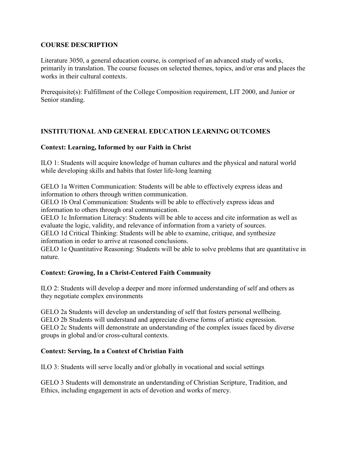# **COURSE DESCRIPTION**

Literature 3050, a general education course, is comprised of an advanced study of works, primarily in translation. The course focuses on selected themes, topics, and/or eras and places the works in their cultural contexts.

Prerequisite(s): Fulfillment of the College Composition requirement, LIT 2000, and Junior or Senior standing.

# **INSTITUTIONAL AND GENERAL EDUCATION LEARNING OUTCOMES**

# **Context: Learning, Informed by our Faith in Christ**

ILO 1: Students will acquire knowledge of human cultures and the physical and natural world while developing skills and habits that foster life-long learning

GELO 1a Written Communication: Students will be able to effectively express ideas and information to others through written communication.

GELO 1b Oral Communication: Students will be able to effectively express ideas and information to others through oral communication.

GELO 1c Information Literacy: Students will be able to access and cite information as well as evaluate the logic, validity, and relevance of information from a variety of sources.

GELO 1d Critical Thinking: Students will be able to examine, critique, and synthesize information in order to arrive at reasoned conclusions.

GELO 1e Quantitative Reasoning: Students will be able to solve problems that are quantitative in nature.

# **Context: Growing, In a Christ-Centered Faith Community**

ILO 2: Students will develop a deeper and more informed understanding of self and others as they negotiate complex environments

GELO 2a Students will develop an understanding of self that fosters personal wellbeing. GELO 2b Students will understand and appreciate diverse forms of artistic expression. GELO 2c Students will demonstrate an understanding of the complex issues faced by diverse groups in global and/or cross-cultural contexts.

# **Context: Serving, In a Context of Christian Faith**

ILO 3: Students will serve locally and/or globally in vocational and social settings

GELO 3 Students will demonstrate an understanding of Christian Scripture, Tradition, and Ethics, including engagement in acts of devotion and works of mercy.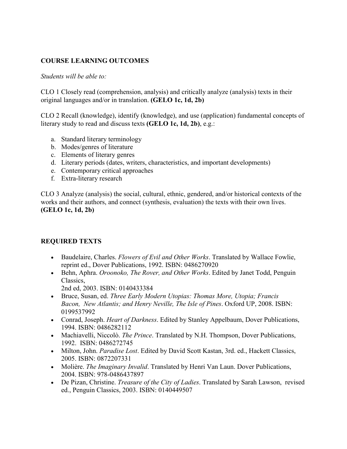# **COURSE LEARNING OUTCOMES**

#### *Students will be able to:*

CLO 1 Closely read (comprehension, analysis) and critically analyze (analysis) texts in their original languages and/or in translation. **(GELO 1c, 1d, 2b)**

CLO 2 Recall (knowledge), identify (knowledge), and use (application) fundamental concepts of literary study to read and discuss texts **(GELO 1c, 1d, 2b)**, e.g.:

- a. Standard literary terminology
- b. Modes/genres of literature
- c. Elements of literary genres
- d. Literary periods (dates, writers, characteristics, and important developments)
- e. Contemporary critical approaches
- f. Extra-literary research

CLO 3 Analyze (analysis) the social, cultural, ethnic, gendered, and/or historical contexts of the works and their authors, and connect (synthesis, evaluation) the texts with their own lives. **(GELO 1c, 1d, 2b)**

# **REQUIRED TEXTS**

- Baudelaire, Charles. *Flowers of Evil and Other Works*. Translated by Wallace Fowlie, reprint ed., Dover Publications, 1992. ISBN: 0486270920
- Behn, Aphra. *Oroonoko, The Rover, and Other Works*. Edited by Janet Todd, Penguin Classics,
	- 2nd ed, 2003. ISBN: 0140433384
- Bruce, Susan, ed. *Three Early Modern Utopias: Thomas More, Utopia; Francis Bacon, New Atlantis; and Henry Neville, The Isle of Pines*. Oxford UP, 2008. ISBN: 0199537992
- Conrad, Joseph. *Heart of Darkness*. Edited by Stanley Appelbaum, Dover Publications, 1994. ISBN: 0486282112
- Machiavelli, Niccolò. *The Prince*. Translated by N.H. Thompson, Dover Publications, 1992. ISBN: 0486272745
- Milton, John. *Paradise Lost*. Edited by David Scott Kastan, 3rd. ed., Hackett Classics, 2005. ISBN: 0872207331
- Molière. *The Imaginary Invalid*. Translated by Henri Van Laun. Dover Publications, 2004. ISBN: 978-0486437897
- De Pizan, Christine. *Treasure of the City of Ladies*. Translated by Sarah Lawson, revised ed., Penguin Classics, 2003. ISBN: 0140449507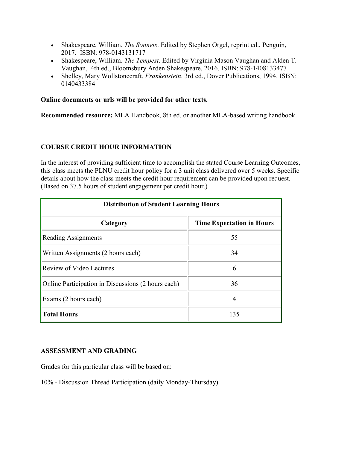- Shakespeare, William. *The Sonnets*. Edited by Stephen Orgel, reprint ed., Penguin, 2017. ISBN: 978-0143131717
- Shakespeare, William. *The Tempest*. Edited by Virginia Mason Vaughan and Alden T. Vaughan, 4th ed., Bloomsbury Arden Shakespeare, 2016. ISBN: 978-1408133477
- Shelley, Mary Wollstonecraft. *Frankenstein*. 3rd ed., Dover Publications, 1994. ISBN: 0140433384

#### **Online documents or urls will be provided for other texts.**

**Recommended resource:** MLA Handbook, 8th ed. or another MLA-based writing handbook.

# **COURSE CREDIT HOUR INFORMATION**

In the interest of providing sufficient time to accomplish the stated Course Learning Outcomes, this class meets the PLNU credit hour policy for a 3 unit class delivered over 5 weeks. Specific details about how the class meets the credit hour requirement can be provided upon request. (Based on 37.5 hours of student engagement per credit hour.)

| <b>Distribution of Student Learning Hours</b>      |                                  |  |  |  |
|----------------------------------------------------|----------------------------------|--|--|--|
| Category                                           | <b>Time Expectation in Hours</b> |  |  |  |
| <b>Reading Assignments</b>                         | 55                               |  |  |  |
| Written Assignments (2 hours each)                 | 34                               |  |  |  |
| <b>Review of Video Lectures</b>                    | 6                                |  |  |  |
| Online Participation in Discussions (2 hours each) | 36                               |  |  |  |
| Exams (2 hours each)                               | 4                                |  |  |  |
| <b>Total Hours</b>                                 | 135                              |  |  |  |

#### **ASSESSMENT AND GRADING**

Grades for this particular class will be based on:

10% - Discussion Thread Participation (daily Monday-Thursday)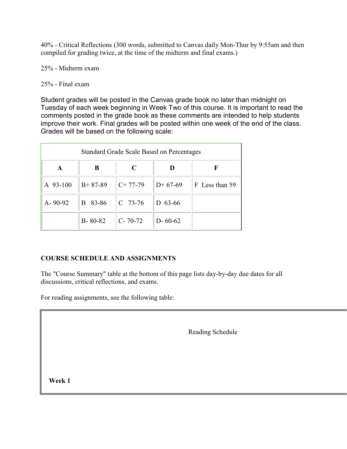40% - Critical Reflections (300 words, submitted to Canvas daily Mon-Thur by 9:55am and then compiled for grading twice, at the time of the midterm and final exams.)

25% - Midterm exam

### 25% - Final exam

Student grades will be posted in the Canvas grade book no later than midnight on Tuesday of each week beginning in Week Two of this course. It is important to read the comments posted in the grade book as these comments are intended to help students improve their work. Final grades will be posted within one week of the end of the class. Grades will be based on the following scale:

| <b>Standard Grade Scale Based on Percentages</b> |               |               |               |                |  |
|--------------------------------------------------|---------------|---------------|---------------|----------------|--|
| A                                                | B             | $\mathsf{C}$  | D             | F              |  |
| A 93-100                                         | $B+87-89$     | $C+77-79$     | $D+67-69$     | F Less than 59 |  |
| A-90-92                                          | 83-86<br>B    | $C$ 73-76     | D 63-66       |                |  |
|                                                  | $B - 80 - 82$ | $C - 70 - 72$ | $D - 60 - 62$ |                |  |

# **COURSE SCHEDULE AND ASSIGNMENTS**

The "Course Summary" table at the bottom of this page lists day-by-day due dates for all discussions, critical reflections, and exams.

For reading assignments, see the following table:

Reading Schedule

**Week 1**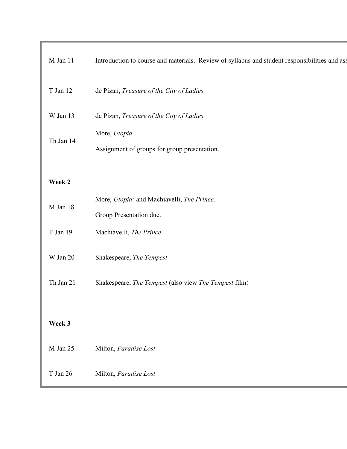| $M$ Jan 11 | Introduction to course and materials. Review of syllabus and student responsibilities and ass |
|------------|-----------------------------------------------------------------------------------------------|
| T Jan 12   | de Pizan, Treasure of the City of Ladies                                                      |
| W Jan 13   | de Pizan, Treasure of the City of Ladies                                                      |
| Th Jan 14  | More, Utopia.<br>Assignment of groups for group presentation.                                 |
| Week 2     |                                                                                               |
| $M$ Jan 18 | More, Utopia; and Machiavelli, The Prince.                                                    |
|            | Group Presentation due.                                                                       |
| T Jan 19   | Machiavelli, The Prince                                                                       |
| $W$ Jan 20 | Shakespeare, The Tempest                                                                      |
| Th Jan 21  | Shakespeare, The Tempest (also view The Tempest film)                                         |
|            |                                                                                               |
| Week 3     |                                                                                               |
| M Jan 25   | Milton, Paradise Lost                                                                         |
| T Jan 26   | Milton, Paradise Lost                                                                         |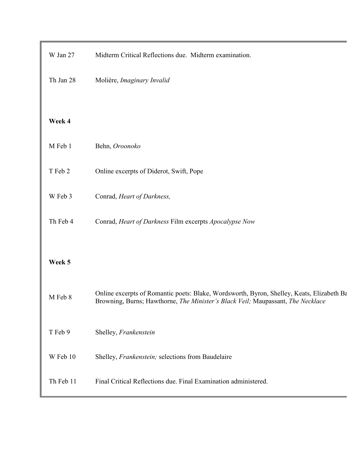| W Jan 27  | Midterm Critical Reflections due. Midterm examination.                                                                                                                       |
|-----------|------------------------------------------------------------------------------------------------------------------------------------------------------------------------------|
| Th Jan 28 | Molière, Imaginary Invalid                                                                                                                                                   |
|           |                                                                                                                                                                              |
| Week 4    |                                                                                                                                                                              |
| M Feb 1   | Behn, Oroonoko                                                                                                                                                               |
| T Feb 2   | Online excerpts of Diderot, Swift, Pope                                                                                                                                      |
| W Feb 3   | Conrad, Heart of Darkness,                                                                                                                                                   |
| Th Feb 4  | Conrad, Heart of Darkness Film excerpts Apocalypse Now                                                                                                                       |
|           |                                                                                                                                                                              |
| Week 5    |                                                                                                                                                                              |
| M Feb 8   | Online excerpts of Romantic poets: Blake, Wordsworth, Byron, Shelley, Keats, Elizabeth Ba<br>Browning, Burns; Hawthorne, The Minister's Black Veil; Maupassant, The Necklace |
| T Feb 9   | Shelley, Frankenstein                                                                                                                                                        |
| W Feb 10  | Shelley, Frankenstein; selections from Baudelaire                                                                                                                            |
| Th Feb 11 | Final Critical Reflections due. Final Examination administered.                                                                                                              |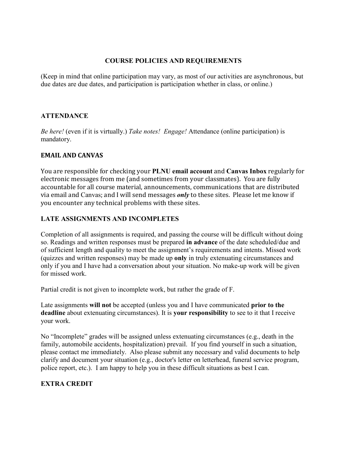### **COURSE POLICIES AND REQUIREMENTS**

(Keep in mind that online participation may vary, as most of our activities are asynchronous, but due dates are due dates, and participation is participation whether in class, or online.)

### **ATTENDANCE**

*Be here!* (even if it is virtually.) *Take notes! Engage!* Attendance (online participation) is mandatory.

#### **EMAIL AND CANVAS**

You are responsible for checking your **PLNU email account** and **[Canvas Inbox](file://conversations)** regularly for electronic messages from me (and sometimes from your classmates). You are fully accountable for all course material, announcements, communications that are distributed via email and Canvas; and I will send messages *only* to these sites. Please let me know if you encounter any technical problems with these sites.

#### **LATE ASSIGNMENTS AND INCOMPLETES**

Completion of all assignments is required, and passing the course will be difficult without doing so. Readings and written responses must be prepared **in advance** of the date scheduled/due and of sufficient length and quality to meet the assignment's requirements and intents. Missed work (quizzes and written responses) may be made up **only** in truly extenuating circumstances and only if you and I have had a conversation about your situation. No make-up work will be given for missed work.

Partial credit is not given to incomplete work, but rather the grade of F.

Late assignments **will not** be accepted (unless you and I have communicated **prior to the deadline** about extenuating circumstances). It is **your responsibility** to see to it that I receive your work.

No "Incomplete" grades will be assigned unless extenuating circumstances (e.g., death in the family, automobile accidents, hospitalization) prevail. If you find yourself in such a situation, please contact me immediately. Also please submit any necessary and valid documents to help clarify and document your situation (e.g., doctor's letter on letterhead, funeral service program, police report, etc.). I am happy to help you in these difficult situations as best I can.

# **EXTRA CREDIT**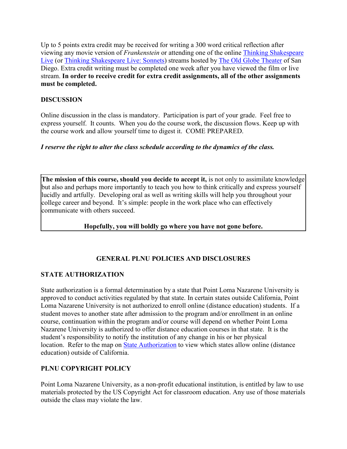Up to 5 points extra credit may be received for writing a 300 word critical reflection after viewing any movie version of *Frankenstein* or attending one of the online [Thinking Shakespeare](https://www.theoldglobe.org/edp-pages/2020/thinking-shakespeare-live/?id=39384)  [Live](https://www.theoldglobe.org/edp-pages/2020/thinking-shakespeare-live/?id=39384) (or [Thinking Shakespeare Live: Sonnets\)](https://www.theoldglobe.org/edp-pages/2020/thinking-shakespeare-live-sonnets/?id=38912) streams hosted by [The Old Globe Theater](https://www.theoldglobe.org/) of San Diego. Extra credit writing must be completed one week after you have viewed the film or live stream. **In order to receive credit for extra credit assignments, all of the other assignments must be completed.**

# **DISCUSSION**

Online discussion in the class is mandatory. Participation is part of your grade. Feel free to express yourself. It counts. When you do the course work, the discussion flows. Keep up with the course work and allow yourself time to digest it. COME PREPARED.

# *I reserve the right to alter the class schedule according to the dynamics of the class.*

**The mission of this course, should you decide to accept it,** is not only to assimilate knowledge but also and perhaps more importantly to teach you how to think critically and express yourself lucidly and artfully. Developing oral as well as writing skills will help you throughout your college career and beyond. It's simple: people in the work place who can effectively communicate with others succeed.

# **Hopefully, you will boldly go where you have not gone before.**

# **GENERAL PLNU POLICIES AND DISCLOSURES**

# **STATE AUTHORIZATION**

State authorization is a formal determination by a state that Point Loma Nazarene University is approved to conduct activities regulated by that state. In certain states outside California, Point Loma Nazarene University is not authorized to enroll online (distance education) students. If a student moves to another state after admission to the program and/or enrollment in an online course, continuation within the program and/or course will depend on whether Point Loma Nazarene University is authorized to offer distance education courses in that state. It is the student's responsibility to notify the institution of any change in his or her physical location. Refer to the map on [State Authorization](https://www.pointloma.edu/offices/office-institutional-effectiveness-research/disclosures) to view which states allow online (distance education) outside of California.

# **PLNU COPYRIGHT POLICY**

Point Loma Nazarene University, as a non-profit educational institution, is entitled by law to use materials protected by the US Copyright Act for classroom education. Any use of those materials outside the class may violate the law.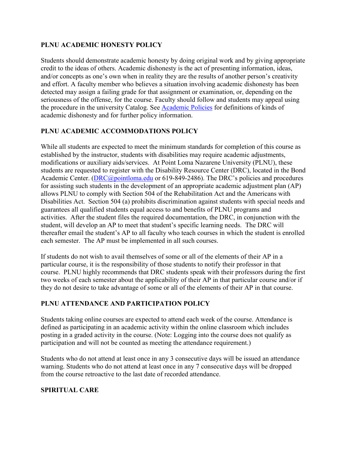# **PLNU ACADEMIC HONESTY POLICY**

Students should demonstrate academic honesty by doing original work and by giving appropriate credit to the ideas of others. Academic dishonesty is the act of presenting information, ideas, and/or concepts as one's own when in reality they are the results of another person's creativity and effort. A faculty member who believes a situation involving academic dishonesty has been detected may assign a failing grade for that assignment or examination, or, depending on the seriousness of the offense, for the course. Faculty should follow and students may appeal using the procedure in the university Catalog. See [Academic Policies](http://catalog.pointloma.edu/content.php?catoid=18&navoid=1278) for definitions of kinds of academic dishonesty and for further policy information.

# **PLNU ACADEMIC ACCOMMODATIONS POLICY**

While all students are expected to meet the minimum standards for completion of this course as established by the instructor, students with disabilities may require academic adjustments, modifications or auxiliary aids/services. At Point Loma Nazarene University (PLNU), these students are requested to register with the Disability Resource Center (DRC), located in the Bond Academic Center. [\(DRC@pointloma.edu](mailto:DRC@pointloma.edu) or 619-849-2486). The DRC's policies and procedures for assisting such students in the development of an appropriate academic adjustment plan (AP) allows PLNU to comply with Section 504 of the Rehabilitation Act and the Americans with Disabilities Act. Section 504 (a) prohibits discrimination against students with special needs and guarantees all qualified students equal access to and benefits of PLNU programs and activities. After the student files the required documentation, the DRC, in conjunction with the student, will develop an AP to meet that student's specific learning needs. The DRC will thereafter email the student's AP to all faculty who teach courses in which the student is enrolled each semester. The AP must be implemented in all such courses.

If students do not wish to avail themselves of some or all of the elements of their AP in a particular course, it is the responsibility of those students to notify their professor in that course. PLNU highly recommends that DRC students speak with their professors during the first two weeks of each semester about the applicability of their AP in that particular course and/or if they do not desire to take advantage of some or all of the elements of their AP in that course.

# **PLNU ATTENDANCE AND PARTICIPATION POLICY**

Students taking online courses are expected to attend each week of the course. Attendance is defined as participating in an academic activity within the online classroom which includes posting in a graded activity in the course. (Note: Logging into the course does not qualify as participation and will not be counted as meeting the attendance requirement.)

Students who do not attend at least once in any 3 consecutive days will be issued an attendance warning. Students who do not attend at least once in any 7 consecutive days will be dropped from the course retroactive to the last date of recorded attendance.

# **SPIRITUAL CARE**